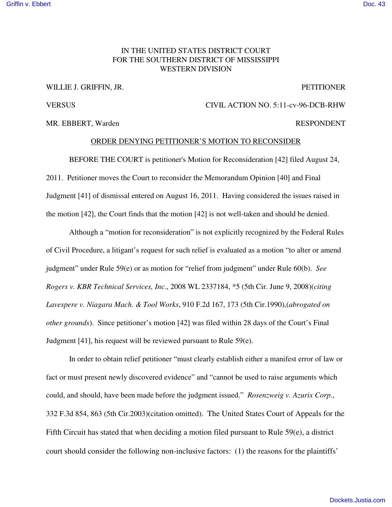## IN THE UNITED STATES DISTRICT COURT FOR THE SOUTHERN DISTRICT OF MISSISSIPPI WESTERN DIVISION

## WILLIE J. GRIFFIN, JR. PETITIONER

MR. EBBERT, Warden **RESPONDENT** 

## VERSUS CIVIL ACTION NO. 5:11-cv-96-DCB-RHW

## ORDER DENYING PETITIONER'S MOTION TO RECONSIDER

BEFORE THE COURT is petitioner's Motion for Reconsideration [42] filed August 24, 2011. Petitioner moves the Court to reconsider the Memorandum Opinion [40] and Final Judgment [41] of dismissal entered on August 16, 2011. Having considered the issues raised in the motion [42], the Court finds that the motion [42] is not well-taken and should be denied.

Although a "motion for reconsideration" is not explicitly recognized by the Federal Rules of Civil Procedure, a litigant's request for such relief is evaluated as a motion "to alter or amend judgment" under Rule 59(e) or as motion for "relief from judgment" under Rule 60(b). *See Rogers v. KBR Technical Services, Inc*., 2008 WL 2337184, \*5 (5th Cir. June 9, 2008)(*citing Lavespere v. Niagara Mach. & Tool Works*, 910 F.2d 167, 173 (5th Cir.1990),(*abrogated on other grounds*). Since petitioner's motion [42] was filed within 28 days of the Court's Final Judgment [41], his request will be reviewed pursuant to Rule 59(e).

In order to obtain relief petitioner "must clearly establish either a manifest error of law or fact or must present newly discovered evidence" and "cannot be used to raise arguments which could, and should, have been made before the judgment issued." *Rosenzweig v. Azurix Corp*., 332 F.3d 854, 863 (5th Cir.2003)(citation omitted). The United States Court of Appeals for the Fifth Circuit has stated that when deciding a motion filed pursuant to Rule 59(e), a district court should consider the following non-inclusive factors: (1) the reasons for the plaintiffs'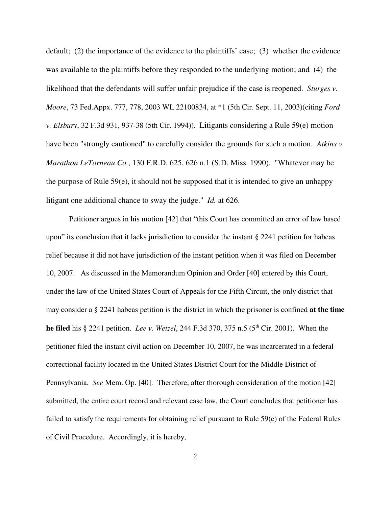default; (2) the importance of the evidence to the plaintiffs' case; (3) whether the evidence was available to the plaintiffs before they responded to the underlying motion; and (4) the likelihood that the defendants will suffer unfair prejudice if the case is reopened. *Sturges v. Moore*, 73 Fed.Appx. 777, 778, 2003 WL 22100834, at \*1 (5th Cir. Sept. 11, 2003)(citing *Ford v. Elsbury*, 32 F.3d 931, 937-38 (5th Cir. 1994)). Litigants considering a Rule 59(e) motion have been "strongly cautioned" to carefully consider the grounds for such a motion. *Atkins v. Marathon LeTorneau Co.*, 130 F.R.D. 625, 626 n.1 (S.D. Miss. 1990). "Whatever may be the purpose of Rule 59(e), it should not be supposed that it is intended to give an unhappy litigant one additional chance to sway the judge." *Id.* at 626.

Petitioner argues in his motion [42] that "this Court has committed an error of law based upon" its conclusion that it lacks jurisdiction to consider the instant  $\S$  2241 petition for habeas relief because it did not have jurisdiction of the instant petition when it was filed on December 10, 2007. As discussed in the Memorandum Opinion and Order [40] entered by this Court, under the law of the United States Court of Appeals for the Fifth Circuit, the only district that may consider a § 2241 habeas petition is the district in which the prisoner is confined **at the time he filed** his § 2241 petition. *Lee v. Wetzel*, 244 F.3d 370, 375 n.5 (5 th Cir. 2001). When the petitioner filed the instant civil action on December 10, 2007, he was incarcerated in a federal correctional facility located in the United States District Court for the Middle District of Pennsylvania. *See* Mem. Op. [40]. Therefore, after thorough consideration of the motion [42] submitted, the entire court record and relevant case law, the Court concludes that petitioner has failed to satisfy the requirements for obtaining relief pursuant to Rule 59(e) of the Federal Rules of Civil Procedure. Accordingly, it is hereby,

2